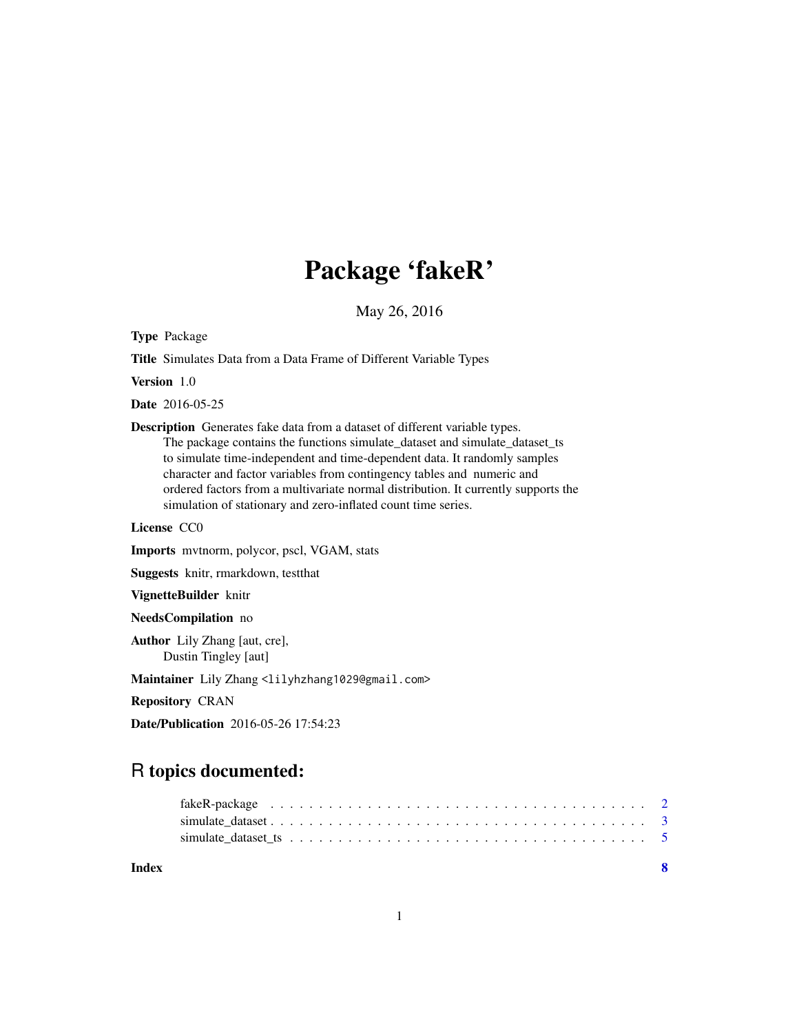## Package 'fakeR'

May 26, 2016

Type Package

Title Simulates Data from a Data Frame of Different Variable Types

Version 1.0

Date 2016-05-25

Description Generates fake data from a dataset of different variable types. The package contains the functions simulate\_dataset and simulate\_dataset\_ts to simulate time-independent and time-dependent data. It randomly samples character and factor variables from contingency tables and numeric and ordered factors from a multivariate normal distribution. It currently supports the simulation of stationary and zero-inflated count time series.

License CC0

Imports mvtnorm, polycor, pscl, VGAM, stats

Suggests knitr, rmarkdown, testthat

VignetteBuilder knitr

NeedsCompilation no

Author Lily Zhang [aut, cre], Dustin Tingley [aut]

Maintainer Lily Zhang <lilyhzhang1029@gmail.com>

Repository CRAN

Date/Publication 2016-05-26 17:54:23

### R topics documented:

| Index | $\mathbf{R}$ |  |
|-------|--------------|--|
|       |              |  |
|       |              |  |
|       |              |  |

1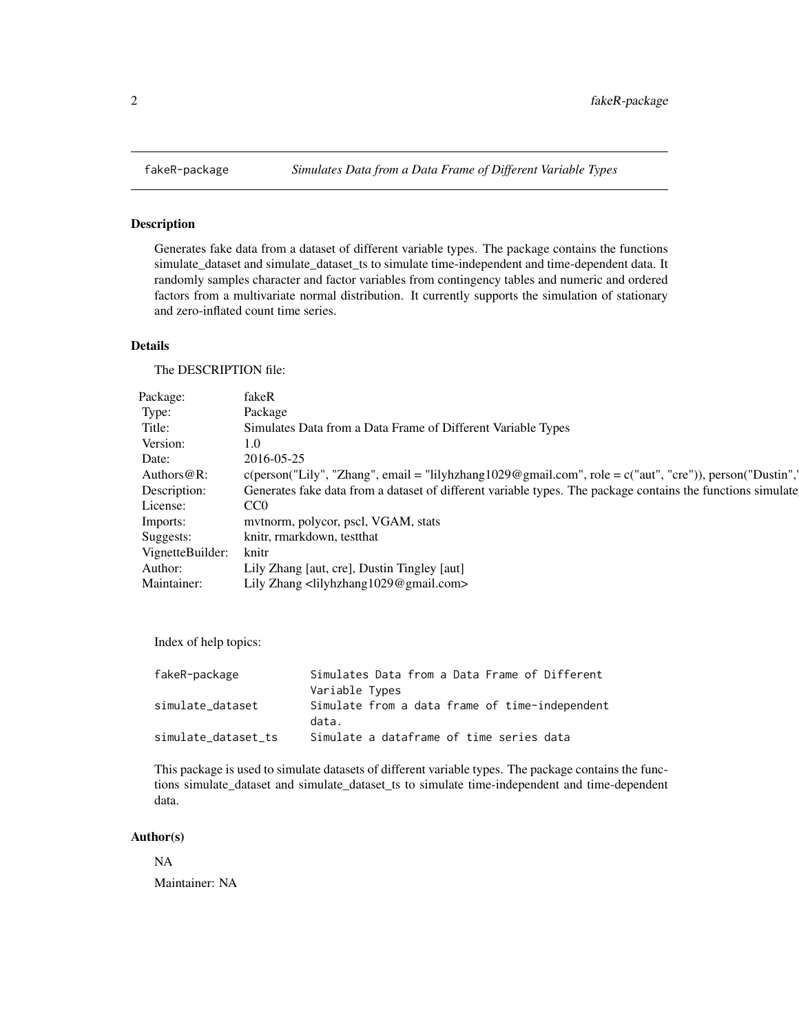<span id="page-1-0"></span>

#### Description

Generates fake data from a dataset of different variable types. The package contains the functions simulate\_dataset and simulate\_dataset\_ts to simulate time-independent and time-dependent data. It randomly samples character and factor variables from contingency tables and numeric and ordered factors from a multivariate normal distribution. It currently supports the simulation of stationary and zero-inflated count time series.

#### Details

The DESCRIPTION file:

| Package:               | fakeR                                                                                                       |
|------------------------|-------------------------------------------------------------------------------------------------------------|
| Type:                  | Package                                                                                                     |
| Title:                 | Simulates Data from a Data Frame of Different Variable Types                                                |
| Version:               | 1.0                                                                                                         |
| Date:                  | 2016-05-25                                                                                                  |
| Authors@R:             |                                                                                                             |
| Description:           | Generates fake data from a dataset of different variable types. The package contains the functions simulate |
| License:               | CC <sub>0</sub>                                                                                             |
| Imports:               | mvtnorm, polycor, pscl, VGAM, stats                                                                         |
| Suggests:              | knitr, rmarkdown, testthat                                                                                  |
| VignetteBuilder: knitr |                                                                                                             |
| Author:                | Lily Zhang [aut, cre], Dustin Tingley [aut]                                                                 |
| Maintainer:            | Lily Zhang <lilyhzhang1029@gmail.com></lilyhzhang1029@gmail.com>                                            |
|                        |                                                                                                             |

Index of help topics:

| fakeR-package       | Simulates Data from a Data Frame of Different           |
|---------------------|---------------------------------------------------------|
|                     | Variable Types                                          |
| simulate dataset    | Simulate from a data frame of time-independent<br>data. |
| simulate dataset ts | Simulate a dataframe of time series data                |

This package is used to simulate datasets of different variable types. The package contains the functions simulate\_dataset and simulate\_dataset\_ts to simulate time-independent and time-dependent data.

#### Author(s)

NA Maintainer: NA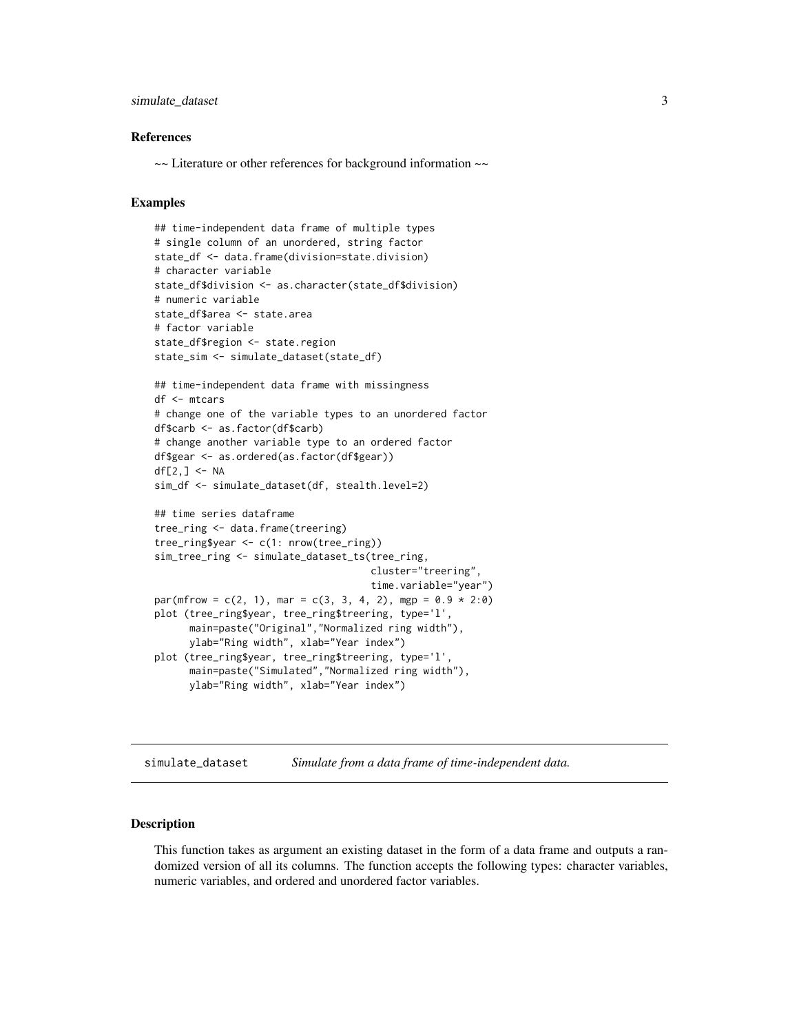#### <span id="page-2-0"></span>simulate\_dataset 3

#### References

~~ Literature or other references for background information ~~

#### Examples

```
## time-independent data frame of multiple types
# single column of an unordered, string factor
state_df <- data.frame(division=state.division)
# character variable
state_df$division <- as.character(state_df$division)
# numeric variable
state_df$area <- state.area
# factor variable
state_df$region <- state.region
state_sim <- simulate_dataset(state_df)
## time-independent data frame with missingness
df <- mtcars
# change one of the variable types to an unordered factor
df$carb <- as.factor(df$carb)
# change another variable type to an ordered factor
df$gear <- as.ordered(as.factor(df$gear))
df[2, ] \leftarrow NAsim_df <- simulate_dataset(df, stealth.level=2)
## time series dataframe
tree_ring <- data.frame(treering)
tree_ring$year <- c(1: nrow(tree_ring))
sim_tree_ring <- simulate_dataset_ts(tree_ring,
                                     cluster="treering",
                                     time.variable="year")
par(mfrow = c(2, 1), mar = c(3, 3, 4, 2), mp = 0.9 * 2:0)plot (tree_ring$year, tree_ring$treering, type='l',
     main=paste("Original","Normalized ring width"),
     ylab="Ring width", xlab="Year index")
plot (tree_ring$year, tree_ring$treering, type='l',
     main=paste("Simulated","Normalized ring width"),
     ylab="Ring width", xlab="Year index")
```
simulate\_dataset *Simulate from a data frame of time-independent data.*

#### Description

This function takes as argument an existing dataset in the form of a data frame and outputs a randomized version of all its columns. The function accepts the following types: character variables, numeric variables, and ordered and unordered factor variables.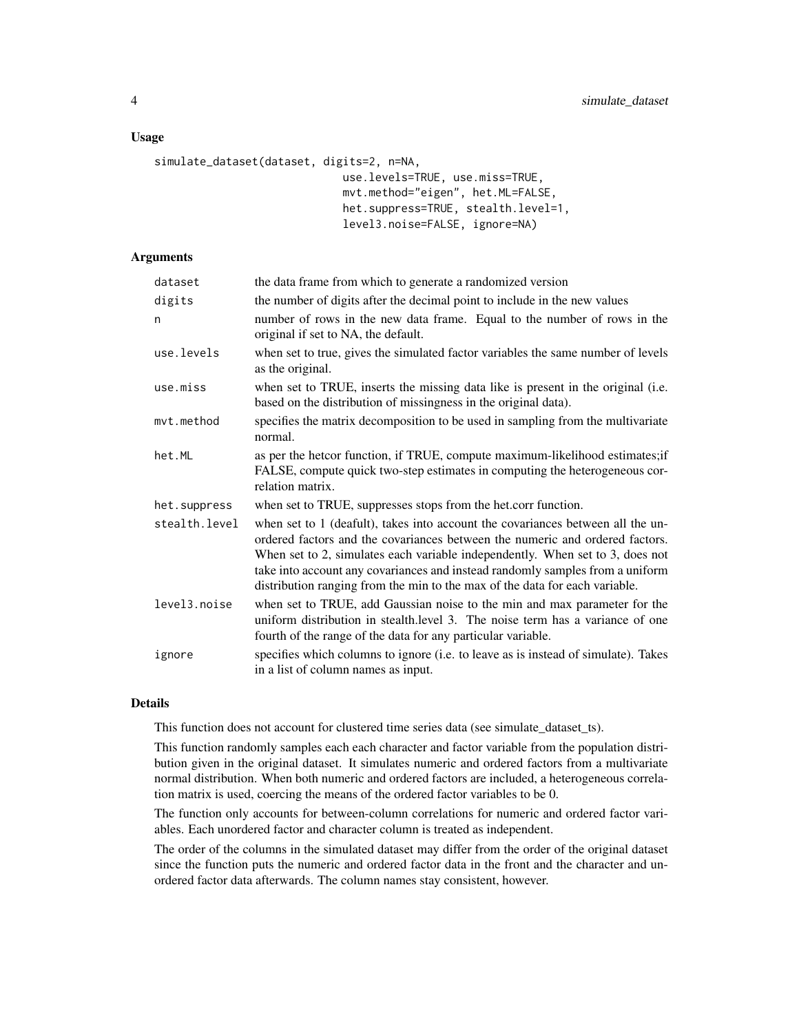#### Usage

```
simulate_dataset(dataset, digits=2, n=NA,
                             use.levels=TRUE, use.miss=TRUE,
                             mvt.method="eigen", het.ML=FALSE,
                             het.suppress=TRUE, stealth.level=1,
                             level3.noise=FALSE, ignore=NA)
```
#### Arguments

| dataset       | the data frame from which to generate a randomized version                                                                                                                                                                                                                                                                                                                                                       |
|---------------|------------------------------------------------------------------------------------------------------------------------------------------------------------------------------------------------------------------------------------------------------------------------------------------------------------------------------------------------------------------------------------------------------------------|
| digits        | the number of digits after the decimal point to include in the new values                                                                                                                                                                                                                                                                                                                                        |
| n             | number of rows in the new data frame. Equal to the number of rows in the<br>original if set to NA, the default.                                                                                                                                                                                                                                                                                                  |
| use.levels    | when set to true, gives the simulated factor variables the same number of levels<br>as the original.                                                                                                                                                                                                                                                                                                             |
| use.miss      | when set to TRUE, inserts the missing data like is present in the original (i.e.<br>based on the distribution of missingness in the original data).                                                                                                                                                                                                                                                              |
| mvt.method    | specifies the matrix decomposition to be used in sampling from the multivariate<br>normal.                                                                                                                                                                                                                                                                                                                       |
| het.ML        | as per the hetcor function, if TRUE, compute maximum-likelihood estimates; if<br>FALSE, compute quick two-step estimates in computing the heterogeneous cor-<br>relation matrix.                                                                                                                                                                                                                                 |
| het.suppress  | when set to TRUE, suppresses stops from the het.corr function.                                                                                                                                                                                                                                                                                                                                                   |
| stealth.level | when set to 1 (deafult), takes into account the covariances between all the un-<br>ordered factors and the covariances between the numeric and ordered factors.<br>When set to 2, simulates each variable independently. When set to 3, does not<br>take into account any covariances and instead randomly samples from a uniform<br>distribution ranging from the min to the max of the data for each variable. |
| level3.noise  | when set to TRUE, add Gaussian noise to the min and max parameter for the<br>uniform distribution in stealth.level 3. The noise term has a variance of one<br>fourth of the range of the data for any particular variable.                                                                                                                                                                                       |
| ignore        | specifies which columns to ignore (i.e. to leave as is instead of simulate). Takes<br>in a list of column names as input.                                                                                                                                                                                                                                                                                        |

#### Details

This function does not account for clustered time series data (see simulate\_dataset\_ts).

This function randomly samples each each character and factor variable from the population distribution given in the original dataset. It simulates numeric and ordered factors from a multivariate normal distribution. When both numeric and ordered factors are included, a heterogeneous correlation matrix is used, coercing the means of the ordered factor variables to be 0.

The function only accounts for between-column correlations for numeric and ordered factor variables. Each unordered factor and character column is treated as independent.

The order of the columns in the simulated dataset may differ from the order of the original dataset since the function puts the numeric and ordered factor data in the front and the character and unordered factor data afterwards. The column names stay consistent, however.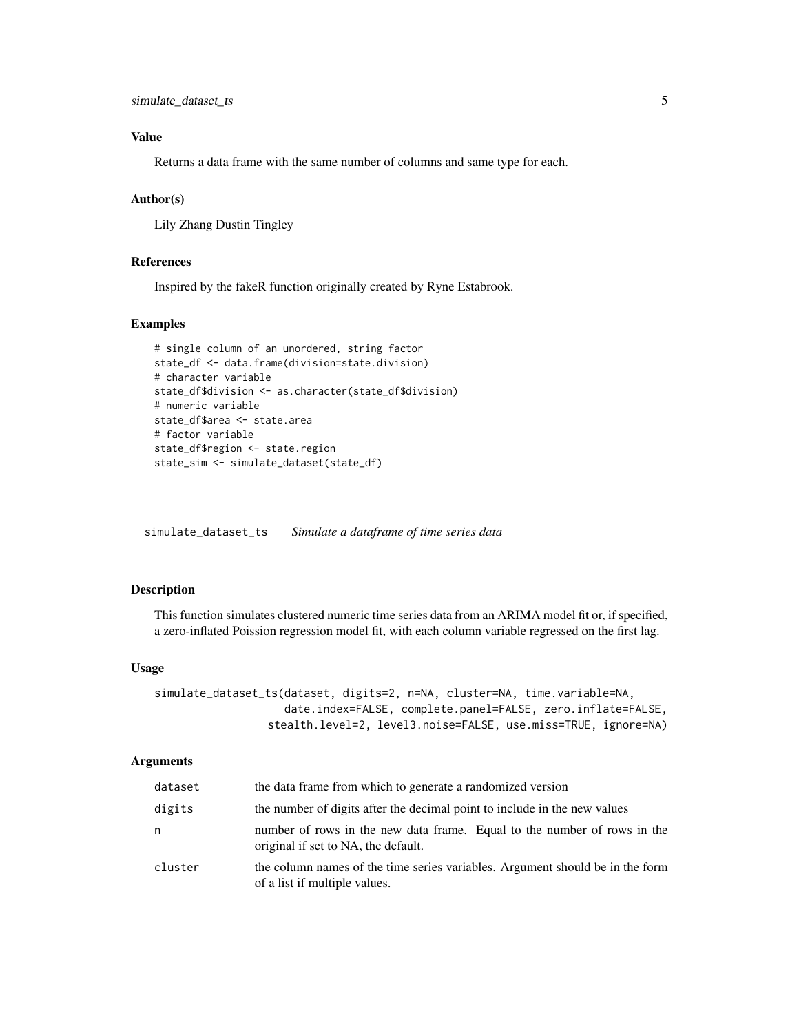#### <span id="page-4-0"></span>Value

Returns a data frame with the same number of columns and same type for each.

#### Author(s)

Lily Zhang Dustin Tingley

#### References

Inspired by the fakeR function originally created by Ryne Estabrook.

#### Examples

```
# single column of an unordered, string factor
state_df <- data.frame(division=state.division)
# character variable
state_df$division <- as.character(state_df$division)
# numeric variable
state_df$area <- state.area
# factor variable
state_df$region <- state.region
state_sim <- simulate_dataset(state_df)
```
simulate\_dataset\_ts *Simulate a dataframe of time series data*

#### Description

This function simulates clustered numeric time series data from an ARIMA model fit or, if specified, a zero-inflated Poission regression model fit, with each column variable regressed on the first lag.

#### Usage

```
simulate_dataset_ts(dataset, digits=2, n=NA, cluster=NA, time.variable=NA,
                    date.index=FALSE, complete.panel=FALSE, zero.inflate=FALSE,
                 stealth.level=2, level3.noise=FALSE, use.miss=TRUE, ignore=NA)
```
#### Arguments

| dataset | the data frame from which to generate a randomized version                                                      |
|---------|-----------------------------------------------------------------------------------------------------------------|
| digits  | the number of digits after the decimal point to include in the new values                                       |
| n       | number of rows in the new data frame. Equal to the number of rows in the<br>original if set to NA, the default. |
| cluster | the column names of the time series variables. Argument should be in the form<br>of a list if multiple values.  |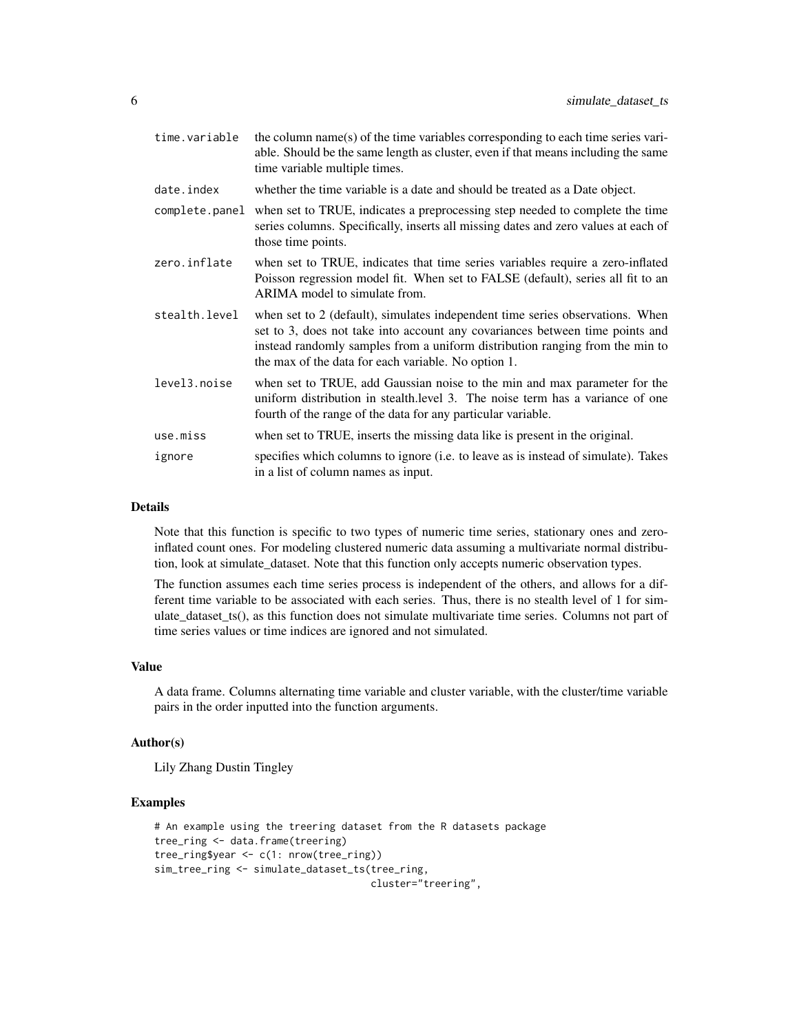| time.variable  | the column name(s) of the time variables corresponding to each time series vari-<br>able. Should be the same length as cluster, even if that means including the same<br>time variable multiple times.                                                                                               |
|----------------|------------------------------------------------------------------------------------------------------------------------------------------------------------------------------------------------------------------------------------------------------------------------------------------------------|
| date.index     | whether the time variable is a date and should be treated as a Date object.                                                                                                                                                                                                                          |
| complete.panel | when set to TRUE, indicates a preprocessing step needed to complete the time<br>series columns. Specifically, inserts all missing dates and zero values at each of<br>those time points.                                                                                                             |
| zero.inflate   | when set to TRUE, indicates that time series variables require a zero-inflated<br>Poisson regression model fit. When set to FALSE (default), series all fit to an<br>ARIMA model to simulate from.                                                                                                   |
| stealth.level  | when set to 2 (default), simulates independent time series observations. When<br>set to 3, does not take into account any covariances between time points and<br>instead randomly samples from a uniform distribution ranging from the min to<br>the max of the data for each variable. No option 1. |
| level3.noise   | when set to TRUE, add Gaussian noise to the min and max parameter for the<br>uniform distribution in stealth. level 3. The noise term has a variance of one<br>fourth of the range of the data for any particular variable.                                                                          |
| use.miss       | when set to TRUE, inserts the missing data like is present in the original.                                                                                                                                                                                                                          |
| ignore         | specifies which columns to ignore (i.e. to leave as is instead of simulate). Takes<br>in a list of column names as input.                                                                                                                                                                            |

#### Details

Note that this function is specific to two types of numeric time series, stationary ones and zeroinflated count ones. For modeling clustered numeric data assuming a multivariate normal distribution, look at simulate\_dataset. Note that this function only accepts numeric observation types.

The function assumes each time series process is independent of the others, and allows for a different time variable to be associated with each series. Thus, there is no stealth level of 1 for simulate\_dataset\_ts(), as this function does not simulate multivariate time series. Columns not part of time series values or time indices are ignored and not simulated.

#### Value

A data frame. Columns alternating time variable and cluster variable, with the cluster/time variable pairs in the order inputted into the function arguments.

#### Author(s)

Lily Zhang Dustin Tingley

#### Examples

```
# An example using the treering dataset from the R datasets package
tree_ring <- data.frame(treering)
tree_ring$year <- c(1: nrow(tree_ring))
sim_tree_ring <- simulate_dataset_ts(tree_ring,
                                     cluster="treering",
```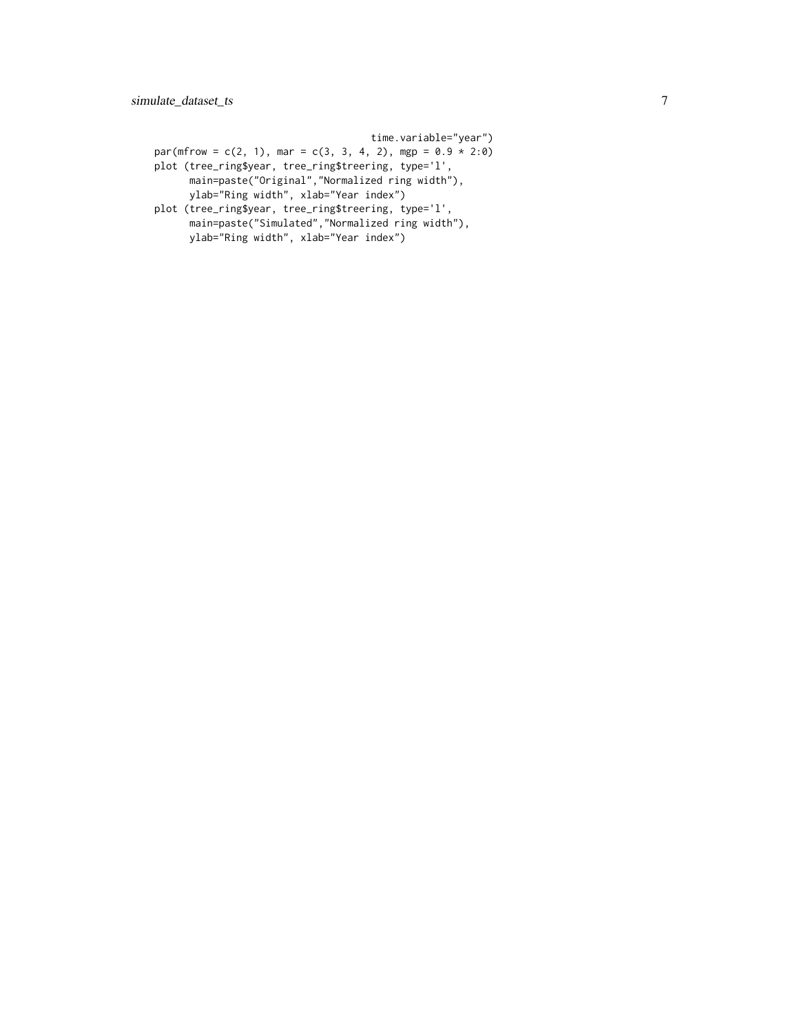time.variable="year")  $par(mfrow = c(2, 1), mar = c(3, 3, 4, 2), mp = 0.9 * 2:0)$ plot (tree\_ring\$year, tree\_ring\$treering, type='l', main=paste("Original","Normalized ring width"), ylab="Ring width", xlab="Year index") plot (tree\_ring\$year, tree\_ring\$treering, type='l', main=paste("Simulated","Normalized ring width"),

ylab="Ring width", xlab="Year index")